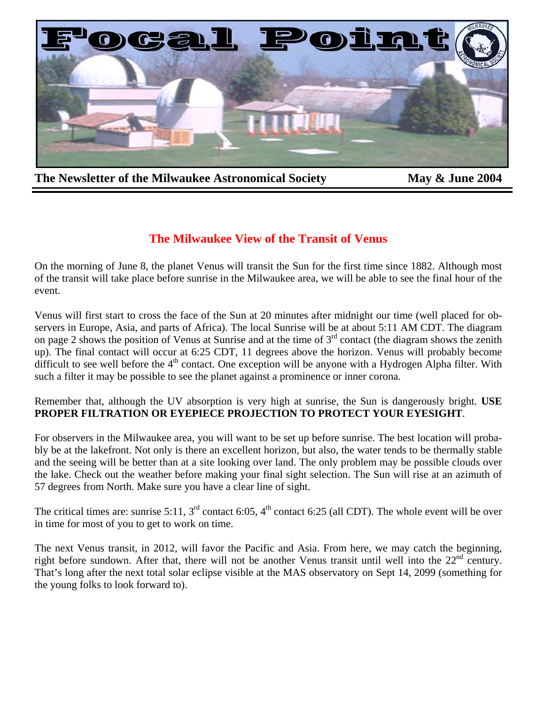

The Newsletter of the Milwaukee Astronomical Society May & June 2004

# **The Milwaukee View of the Transit of Venus**

On the morning of June 8, the planet Venus will transit the Sun for the first time since 1882. Although most of the transit will take place before sunrise in the Milwaukee area, we will be able to see the final hour of the event.

Venus will first start to cross the face of the Sun at 20 minutes after midnight our time (well placed for observers in Europe, Asia, and parts of Africa). The local Sunrise will be at about 5:11 AM CDT. The diagram on page 2 shows the position of Venus at Sunrise and at the time of  $3<sup>rd</sup>$  contact (the diagram shows the zenith up). The final contact will occur at 6:25 CDT, 11 degrees above the horizon. Venus will probably become difficult to see well before the  $4<sup>th</sup>$  contact. One exception will be anyone with a Hydrogen Alpha filter. With such a filter it may be possible to see the planet against a prominence or inner corona.

Remember that, although the UV absorption is very high at sunrise, the Sun is dangerously bright. **USE PROPER FILTRATION OR EYEPIECE PROJECTION TO PROTECT YOUR EYESIGHT**.

For observers in the Milwaukee area, you will want to be set up before sunrise. The best location will probably be at the lakefront. Not only is there an excellent horizon, but also, the water tends to be thermally stable and the seeing will be better than at a site looking over land. The only problem may be possible clouds over the lake. Check out the weather before making your final sight selection. The Sun will rise at an azimuth of 57 degrees from North. Make sure you have a clear line of sight.

The critical times are: sunrise 5:11,  $3^{rd}$  contact 6:05,  $4^{th}$  contact 6:25 (all CDT). The whole event will be over in time for most of you to get to work on time.

The next Venus transit, in 2012, will favor the Pacific and Asia. From here, we may catch the beginning, right before sundown. After that, there will not be another Venus transit until well into the  $22<sup>nd</sup>$  century. That's long after the next total solar eclipse visible at the MAS observatory on Sept 14, 2099 (something for the young folks to look forward to).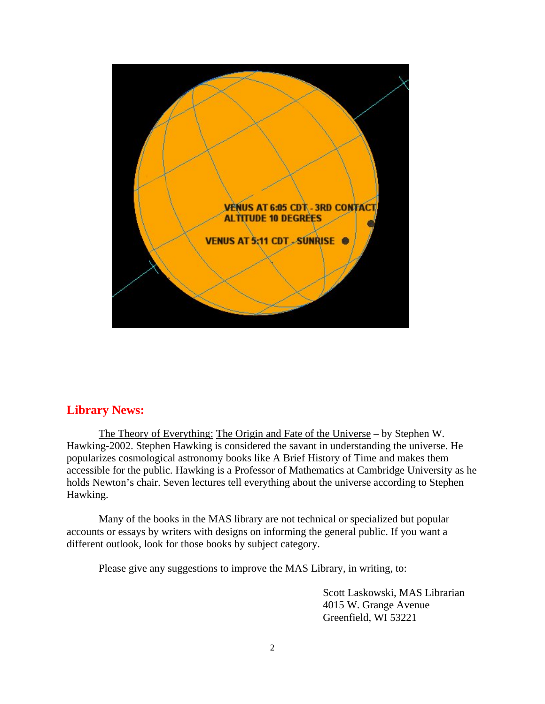

## **Library News:**

The Theory of Everything: The Origin and Fate of the Universe – by Stephen W. Hawking-2002. Stephen Hawking is considered the savant in understanding the universe. He popularizes cosmological astronomy books like A Brief History of Time and makes them accessible for the public. Hawking is a Professor of Mathematics at Cambridge University as he holds Newton's chair. Seven lectures tell everything about the universe according to Stephen Hawking.

 Many of the books in the MAS library are not technical or specialized but popular accounts or essays by writers with designs on informing the general public. If you want a different outlook, look for those books by subject category.

Please give any suggestions to improve the MAS Library, in writing, to:

 Scott Laskowski, MAS Librarian 4015 W. Grange Avenue Greenfield, WI 53221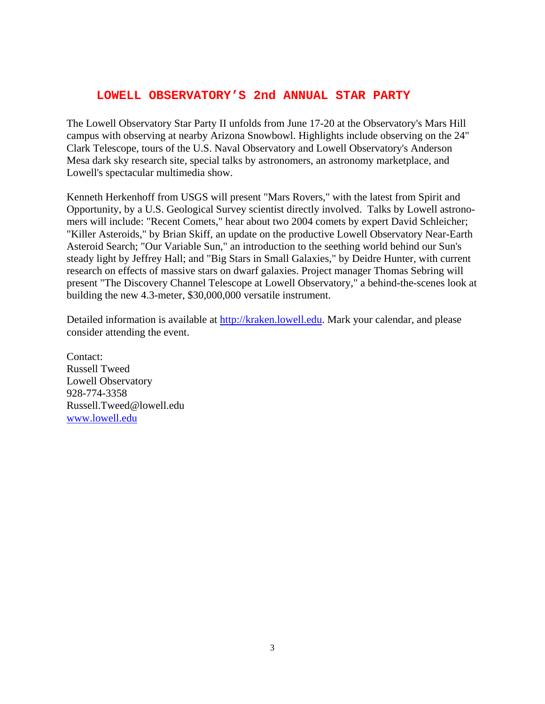#### **LOWELL OBSERVATORY'S 2nd ANNUAL STAR PARTY**

The Lowell Observatory Star Party II unfolds from June 17-20 at the Observatory's Mars Hill campus with observing at nearby Arizona Snowbowl. Highlights include observing on the 24" Clark Telescope, tours of the U.S. Naval Observatory and Lowell Observatory's Anderson Mesa dark sky research site, special talks by astronomers, an astronomy marketplace, and Lowell's spectacular multimedia show.

Kenneth Herkenhoff from USGS will present "Mars Rovers," with the latest from Spirit and Opportunity, by a U.S. Geological Survey scientist directly involved. Talks by Lowell astronomers will include: "Recent Comets," hear about two 2004 comets by expert David Schleicher; "Killer Asteroids," by Brian Skiff, an update on the productive Lowell Observatory Near-Earth Asteroid Search; "Our Variable Sun," an introduction to the seething world behind our Sun's steady light by Jeffrey Hall; and "Big Stars in Small Galaxies," by Deidre Hunter, with current research on effects of massive stars on dwarf galaxies. Project manager Thomas Sebring will present "The Discovery Channel Telescope at Lowell Observatory," a behind-the-scenes look at building the new 4.3-meter, \$30,000,000 versatile instrument.

Detailed information is available at http://kraken.lowell.edu. Mark your calendar, and please consider attending the event.

Contact: Russell Tweed Lowell Observatory 928-774-3358 Russell.Tweed@lowell.edu www.lowell.edu